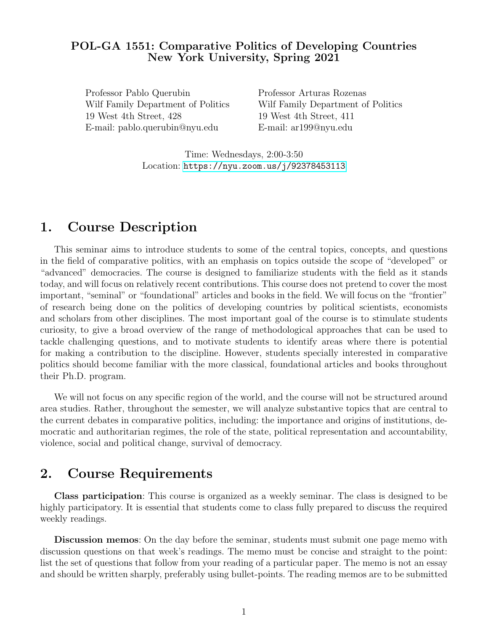# POL-GA 1551: Comparative Politics of Developing Countries New York University, Spring 2021

Professor Pablo Querubin Professor Arturas Rozenas Wilf Family Department of Politics Wilf Family Department of Politics 19 West 4th Street, 428 19 West 4th Street, 411 E-mail: pablo.querubin@nyu.edu E-mail: ar199@nyu.edu

Time: Wednesdays, 2:00-3:50 Location: <https://nyu.zoom.us/j/92378453113>

# 1. Course Description

This seminar aims to introduce students to some of the central topics, concepts, and questions in the field of comparative politics, with an emphasis on topics outside the scope of "developed" or "advanced" democracies. The course is designed to familiarize students with the field as it stands today, and will focus on relatively recent contributions. This course does not pretend to cover the most important, "seminal" or "foundational" articles and books in the field. We will focus on the "frontier" of research being done on the politics of developing countries by political scientists, economists and scholars from other disciplines. The most important goal of the course is to stimulate students curiosity, to give a broad overview of the range of methodological approaches that can be used to tackle challenging questions, and to motivate students to identify areas where there is potential for making a contribution to the discipline. However, students specially interested in comparative politics should become familiar with the more classical, foundational articles and books throughout their Ph.D. program.

We will not focus on any specific region of the world, and the course will not be structured around area studies. Rather, throughout the semester, we will analyze substantive topics that are central to the current debates in comparative politics, including: the importance and origins of institutions, democratic and authoritarian regimes, the role of the state, political representation and accountability, violence, social and political change, survival of democracy.

# 2. Course Requirements

Class participation: This course is organized as a weekly seminar. The class is designed to be highly participatory. It is essential that students come to class fully prepared to discuss the required weekly readings.

Discussion memos: On the day before the seminar, students must submit one page memo with discussion questions on that week's readings. The memo must be concise and straight to the point: list the set of questions that follow from your reading of a particular paper. The memo is not an essay and should be written sharply, preferably using bullet-points. The reading memos are to be submitted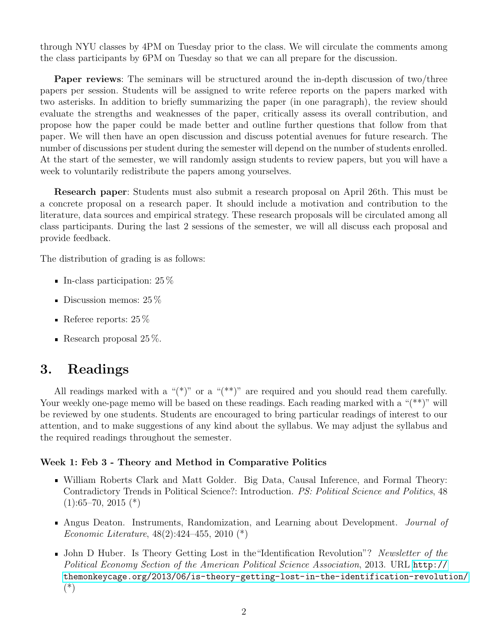through NYU classes by 4PM on Tuesday prior to the class. We will circulate the comments among the class participants by 6PM on Tuesday so that we can all prepare for the discussion.

Paper reviews: The seminars will be structured around the in-depth discussion of two/three papers per session. Students will be assigned to write referee reports on the papers marked with two asterisks. In addition to briefly summarizing the paper (in one paragraph), the review should evaluate the strengths and weaknesses of the paper, critically assess its overall contribution, and propose how the paper could be made better and outline further questions that follow from that paper. We will then have an open discussion and discuss potential avenues for future research. The number of discussions per student during the semester will depend on the number of students enrolled. At the start of the semester, we will randomly assign students to review papers, but you will have a week to voluntarily redistribute the papers among yourselves.

Research paper: Students must also submit a research proposal on April 26th. This must be a concrete proposal on a research paper. It should include a motivation and contribution to the literature, data sources and empirical strategy. These research proposals will be circulated among all class participants. During the last 2 sessions of the semester, we will all discuss each proposal and provide feedback.

The distribution of grading is as follows:

- In-class participation:  $25\%$
- Discussion memos:  $25\%$
- Referee reports:  $25\%$
- Research proposal  $25\%$ .

# 3. Readings

All readings marked with a " $(*)$ " or a " $(**)$ " are required and you should read them carefully. Your weekly one-page memo will be based on these readings. Each reading marked with a "(\*\*)" will be reviewed by one students. Students are encouraged to bring particular readings of interest to our attention, and to make suggestions of any kind about the syllabus. We may adjust the syllabus and the required readings throughout the semester.

#### Week 1: Feb 3 - Theory and Method in Comparative Politics

- William Roberts Clark and Matt Golder. Big Data, Causal Inference, and Formal Theory: Contradictory Trends in Political Science?: Introduction. PS: Political Science and Politics, 48  $(1):65–70, 2015 (*)$
- Angus Deaton. Instruments, Randomization, and Learning about Development. *Journal of* Economic Literature, 48(2):424–455, 2010 (\*)
- **John D Huber.** Is Theory Getting Lost in the "Identification Revolution"? Newsletter of the Political Economy Section of the American Political Science Association, 2013. URL [http://](http://themonkeycage.org/2013/06/is-theory-getting-lost-in-the-identification-revolution/) [themonkeycage.org/2013/06/is-theory-getting-lost-in-the-identification-revolution/](http://themonkeycage.org/2013/06/is-theory-getting-lost-in-the-identification-revolution/) (\*)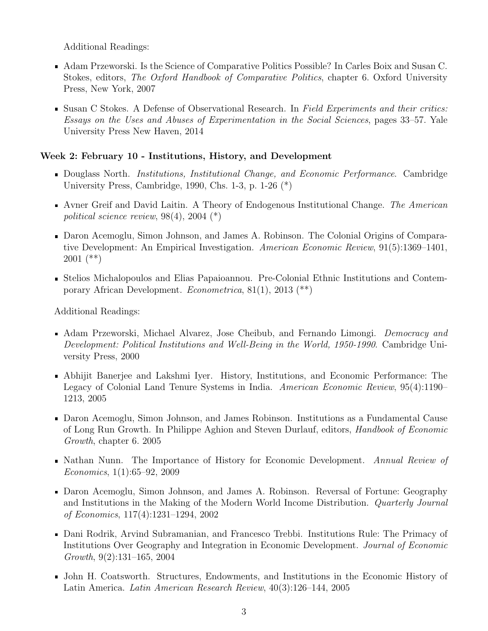Additional Readings:

- Adam Przeworski. Is the Science of Comparative Politics Possible? In Carles Boix and Susan C. Stokes, editors, The Oxford Handbook of Comparative Politics, chapter 6. Oxford University Press, New York, 2007
- **Susan C Stokes. A Defense of Observational Research.** In Field Experiments and their critics: Essays on the Uses and Abuses of Experimentation in the Social Sciences, pages 33–57. Yale University Press New Haven, 2014

# Week 2: February 10 - Institutions, History, and Development

- **Douglass North.** Institutions, Institutional Change, and Economic Performance. Cambridge University Press, Cambridge, 1990, Chs. 1-3, p. 1-26 (\*)
- Avner Greif and David Laitin. A Theory of Endogenous Institutional Change. The American political science review, 98(4), 2004 (\*)
- Daron Acemoglu, Simon Johnson, and James A. Robinson. The Colonial Origins of Comparative Development: An Empirical Investigation. American Economic Review, 91(5):1369–1401, 2001 (\*\*)
- Stelios Michalopoulos and Elias Papaioannou. Pre-Colonial Ethnic Institutions and Contemporary African Development. Econometrica, 81(1), 2013 (\*\*)

- Adam Przeworski, Michael Alvarez, Jose Cheibub, and Fernando Limongi. *Democracy and* Development: Political Institutions and Well-Being in the World, 1950-1990. Cambridge University Press, 2000
- Abhijit Banerjee and Lakshmi Iyer. History, Institutions, and Economic Performance: The Legacy of Colonial Land Tenure Systems in India. American Economic Review, 95(4):1190– 1213, 2005
- Daron Acemoglu, Simon Johnson, and James Robinson. Institutions as a Fundamental Cause of Long Run Growth. In Philippe Aghion and Steven Durlauf, editors, Handbook of Economic Growth, chapter 6. 2005
- Nathan Nunn. The Importance of History for Economic Development. Annual Review of Economics, 1(1):65–92, 2009
- Daron Acemoglu, Simon Johnson, and James A. Robinson. Reversal of Fortune: Geography and Institutions in the Making of the Modern World Income Distribution. Quarterly Journal of Economics, 117(4):1231–1294, 2002
- Dani Rodrik, Arvind Subramanian, and Francesco Trebbi. Institutions Rule: The Primacy of Institutions Over Geography and Integration in Economic Development. Journal of Economic Growth, 9(2):131–165, 2004
- John H. Coatsworth. Structures, Endowments, and Institutions in the Economic History of Latin America. Latin American Research Review, 40(3):126–144, 2005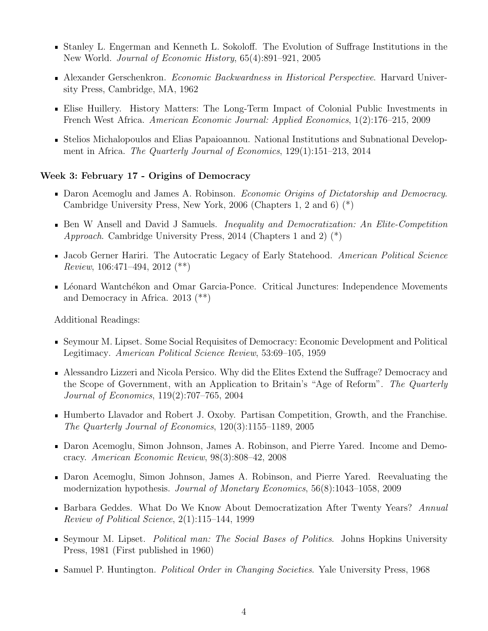- Stanley L. Engerman and Kenneth L. Sokoloff. The Evolution of Suffrage Institutions in the New World. Journal of Economic History, 65(4):891–921, 2005
- **Alexander Gerschenkron.** Economic Backwardness in Historical Perspective. Harvard University Press, Cambridge, MA, 1962
- Elise Huillery. History Matters: The Long-Term Impact of Colonial Public Investments in French West Africa. American Economic Journal: Applied Economics, 1(2):176–215, 2009
- Stelios Michalopoulos and Elias Papaioannou. National Institutions and Subnational Development in Africa. The Quarterly Journal of Economics, 129(1):151–213, 2014

#### Week 3: February 17 - Origins of Democracy

- Daron Acemoglu and James A. Robinson. Economic Origins of Dictatorship and Democracy. Cambridge University Press, New York, 2006 (Chapters 1, 2 and 6) (\*)
- **Ben** W Ansell and David J Samuels. *Inequality and Democratization: An Elite-Competition* Approach. Cambridge University Press, 2014 (Chapters 1 and 2) (\*)
- I Jacob Gerner Hariri. The Autocratic Legacy of Early Statehood. American Political Science Review, 106:471–494, 2012 (\*\*)
- Léonard Wantchékon and Omar Garcia-Ponce. Critical Junctures: Independence Movements and Democracy in Africa. 2013 (\*\*)

- Seymour M. Lipset. Some Social Requisites of Democracy: Economic Development and Political Legitimacy. American Political Science Review, 53:69–105, 1959
- Alessandro Lizzeri and Nicola Persico. Why did the Elites Extend the Suffrage? Democracy and the Scope of Government, with an Application to Britain's "Age of Reform". The Quarterly Journal of Economics, 119(2):707–765, 2004
- Humberto Llavador and Robert J. Oxoby. Partisan Competition, Growth, and the Franchise. The Quarterly Journal of Economics, 120(3):1155–1189, 2005
- Daron Acemoglu, Simon Johnson, James A. Robinson, and Pierre Yared. Income and Democracy. American Economic Review, 98(3):808–42, 2008
- Daron Acemoglu, Simon Johnson, James A. Robinson, and Pierre Yared. Reevaluating the modernization hypothesis. Journal of Monetary Economics, 56(8):1043–1058, 2009
- **Barbara Geddes.** What Do We Know About Democratization After Twenty Years? Annual Review of Political Science, 2(1):115–144, 1999
- Seymour M. Lipset. Political man: The Social Bases of Politics. Johns Hopkins University Press, 1981 (First published in 1960)
- Samuel P. Huntington. *Political Order in Changing Societies*. Yale University Press, 1968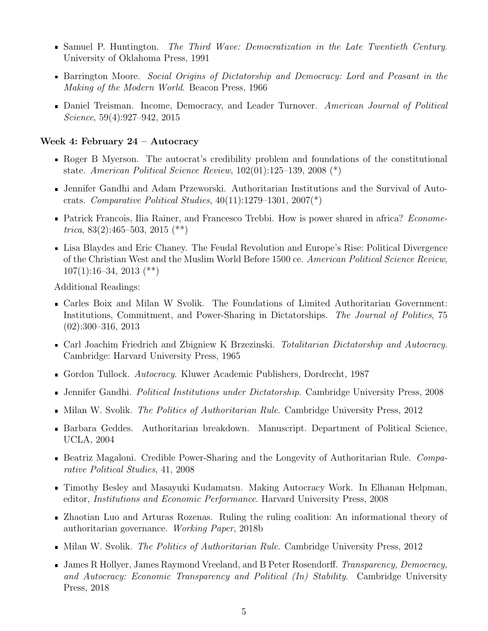- **Samuel P. Huntington.** The Third Wave: Democratization in the Late Twentieth Century. University of Oklahoma Press, 1991
- **Barrington Moore.** Social Origins of Dictatorship and Democracy: Lord and Peasant in the Making of the Modern World. Beacon Press, 1966
- Daniel Treisman. Income, Democracy, and Leader Turnover. American Journal of Political Science, 59(4):927–942, 2015

#### Week 4: February 24 – Autocracy

- Roger B Myerson. The autocrat's credibility problem and foundations of the constitutional state. American Political Science Review, 102(01):125–139, 2008 (\*)
- Jennifer Gandhi and Adam Przeworski. Authoritarian Institutions and the Survival of Autocrats. Comparative Political Studies,  $40(11):1279-1301$ ,  $2007(*)$
- **Patrick Francois, Ilia Rainer, and Francesco Trebbi. How is power shared in africa?** Econome*trica*, 83(2):465–503, 2015 (\*\*)
- Lisa Blaydes and Eric Chaney. The Feudal Revolution and Europe's Rise: Political Divergence of the Christian West and the Muslim World Before 1500 ce. American Political Science Review,  $107(1):16-34, 2013$  (\*\*)

- Carles Boix and Milan W Svolik. The Foundations of Limited Authoritarian Government: Institutions, Commitment, and Power-Sharing in Dictatorships. The Journal of Politics, 75 (02):300–316, 2013
- Carl Joachim Friedrich and Zbigniew K Brzezinski. Totalitarian Dictatorship and Autocracy. Cambridge: Harvard University Press, 1965
- Gordon Tullock. Autocracy. Kluwer Academic Publishers, Dordrecht, 1987
- **Jennifer Gandhi.** Political Institutions under Dictatorship. Cambridge University Press, 2008
- $\blacksquare$  Milan W. Svolik. The Politics of Authoritarian Rule. Cambridge University Press, 2012
- Barbara Geddes. Authoritarian breakdown. Manuscript. Department of Political Science, UCLA, 2004
- **Beatriz Magaloni.** Credible Power-Sharing and the Longevity of Authoritarian Rule. Comparative Political Studies, 41, 2008
- Timothy Besley and Masayuki Kudamatsu. Making Autocracy Work. In Elhanan Helpman, editor, Institutions and Economic Performance. Harvard University Press, 2008
- Zhaotian Luo and Arturas Rozenas. Ruling the ruling coalition: An informational theory of authoritarian governance. Working Paper, 2018b
- $\blacksquare$  Milan W. Svolik. *The Politics of Authoritarian Rule.* Cambridge University Press, 2012
- I James R Hollyer, James Raymond Vreeland, and B Peter Rosendorff. Transparency, Democracy, and Autocracy: Economic Transparency and Political (In) Stability. Cambridge University Press, 2018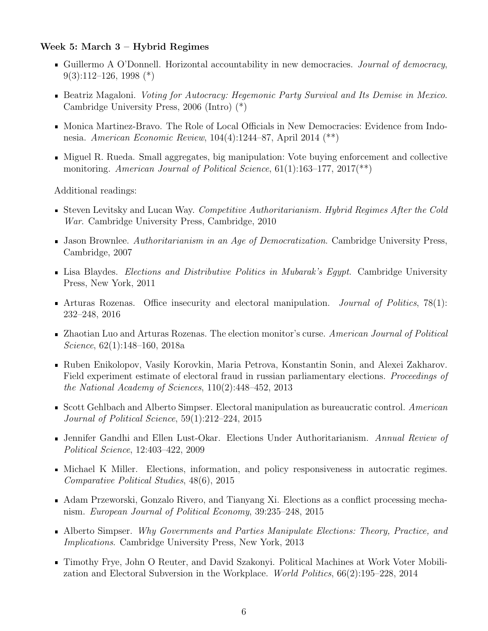#### Week 5: March 3 – Hybrid Regimes

- Guillermo A O'Donnell. Horizontal accountability in new democracies. Journal of democracy,  $9(3):112-126, 1998 (*)$
- **Beatriz Magaloni.** Voting for Autocracy: Hegemonic Party Survival and Its Demise in Mexico. Cambridge University Press, 2006 (Intro) (\*)
- Monica Martinez-Bravo. The Role of Local Officials in New Democracies: Evidence from Indonesia. American Economic Review, 104(4):1244–87, April 2014 (\*\*)
- Miguel R. Rueda. Small aggregates, big manipulation: Vote buying enforcement and collective monitoring. American Journal of Political Science,  $61(1):163-177, 2017(**)$

- Steven Levitsky and Lucan Way. Competitive Authoritarianism. Hybrid Regimes After the Cold War. Cambridge University Press, Cambridge, 2010
- Iason Brownlee. Authoritarianism in an Age of Democratization. Cambridge University Press, Cambridge, 2007
- **Exambridge:** Elections and Distributive Politics in Mubarak's Egypt. Cambridge University Press, New York, 2011
- Arturas Rozenas. Office insecurity and electoral manipulation. *Journal of Politics*,  $78(1)$ : 232–248, 2016
- **EXECUTE:** Zhaotian Luo and Arturas Rozenas. The election monitor's curse. American Journal of Political Science, 62(1):148–160, 2018a
- Ruben Enikolopov, Vasily Korovkin, Maria Petrova, Konstantin Sonin, and Alexei Zakharov. Field experiment estimate of electoral fraud in russian parliamentary elections. Proceedings of the National Academy of Sciences, 110(2):448–452, 2013
- Scott Gehlbach and Alberto Simpser. Electoral manipulation as bureaucratic control. American Journal of Political Science, 59(1):212–224, 2015
- Jennifer Gandhi and Ellen Lust-Okar. Elections Under Authoritarianism. Annual Review of Political Science, 12:403–422, 2009
- Michael K Miller. Elections, information, and policy responsiveness in autocratic regimes. Comparative Political Studies, 48(6), 2015
- Adam Przeworski, Gonzalo Rivero, and Tianyang Xi. Elections as a conflict processing mechanism. European Journal of Political Economy, 39:235–248, 2015
- Alberto Simpser. Why Governments and Parties Manipulate Elections: Theory, Practice, and Implications. Cambridge University Press, New York, 2013
- Timothy Frye, John O Reuter, and David Szakonyi. Political Machines at Work Voter Mobilization and Electoral Subversion in the Workplace. World Politics, 66(2):195–228, 2014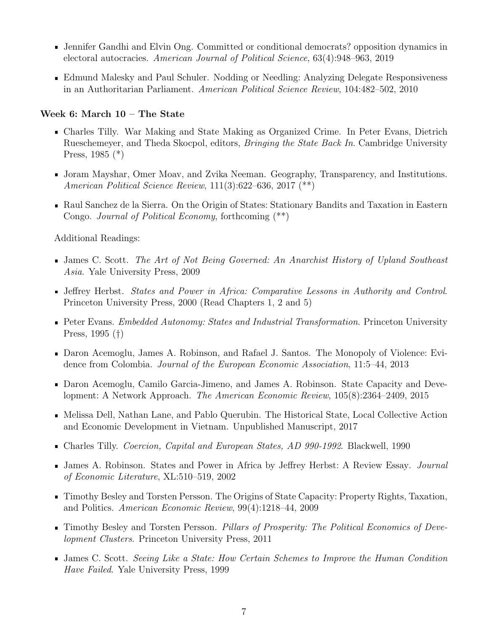- Jennifer Gandhi and Elvin Ong. Committed or conditional democrats? opposition dynamics in electoral autocracies. American Journal of Political Science, 63(4):948–963, 2019
- Edmund Malesky and Paul Schuler. Nodding or Needling: Analyzing Delegate Responsiveness in an Authoritarian Parliament. American Political Science Review, 104:482–502, 2010

#### Week 6: March 10 – The State

- Charles Tilly. War Making and State Making as Organized Crime. In Peter Evans, Dietrich Rueschemeyer, and Theda Skocpol, editors, *Bringing the State Back In*. Cambridge University Press, 1985 (\*)
- Joram Mayshar, Omer Moav, and Zvika Neeman. Geography, Transparency, and Institutions. American Political Science Review, 111(3):622–636, 2017 (\*\*)
- Raul Sanchez de la Sierra. On the Origin of States: Stationary Bandits and Taxation in Eastern Congo. Journal of Political Economy, forthcoming (\*\*)

- James C. Scott. The Art of Not Being Governed: An Anarchist History of Upland Southeast Asia. Yale University Press, 2009
- Jeffrey Herbst. States and Power in Africa: Comparative Lessons in Authority and Control. Princeton University Press, 2000 (Read Chapters 1, 2 and 5)
- **Peter Evans.** Embedded Autonomy: States and Industrial Transformation. Princeton University Press, 1995 (†)
- Daron Acemoglu, James A. Robinson, and Rafael J. Santos. The Monopoly of Violence: Evidence from Colombia. Journal of the European Economic Association, 11:5–44, 2013
- Daron Acemoglu, Camilo Garcia-Jimeno, and James A. Robinson. State Capacity and Development: A Network Approach. The American Economic Review, 105(8):2364–2409, 2015
- Melissa Dell, Nathan Lane, and Pablo Querubin. The Historical State, Local Collective Action and Economic Development in Vietnam. Unpublished Manuscript, 2017
- Charles Tilly. Coercion, Capital and European States, AD 990-1992. Blackwell, 1990
- James A. Robinson. States and Power in Africa by Jeffrey Herbst: A Review Essay. Journal of Economic Literature, XL:510–519, 2002
- Timothy Besley and Torsten Persson. The Origins of State Capacity: Property Rights, Taxation, and Politics. American Economic Review, 99(4):1218–44, 2009
- Timothy Besley and Torsten Persson. Pillars of Prosperity: The Political Economics of Development Clusters. Princeton University Press, 2011
- James C. Scott. Seeing Like a State: How Certain Schemes to Improve the Human Condition Have Failed. Yale University Press, 1999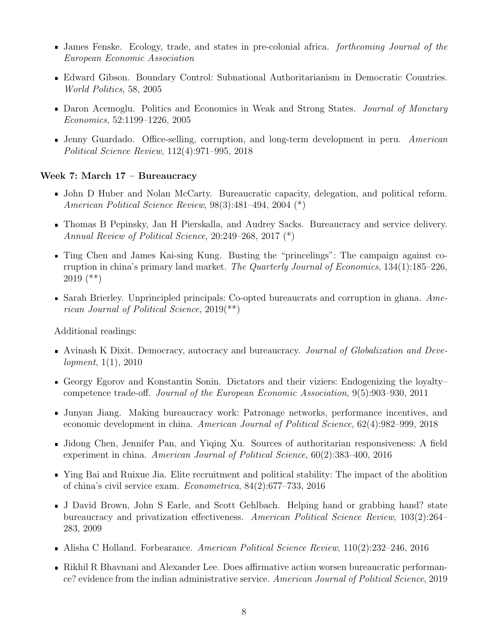- I James Fenske. Ecology, trade, and states in pre-colonial africa. *forthcoming Journal of the* European Economic Association
- Edward Gibson. Boundary Control: Subnational Authoritarianism in Democratic Countries. World Politics, 58, 2005
- Daron Acemoglu. Politics and Economics in Weak and Strong States. Journal of Monetary Economics, 52:1199–1226, 2005
- Ienny Guardado. Office-selling, corruption, and long-term development in peru. American Political Science Review, 112(4):971–995, 2018

#### Week 7: March 17 – Bureaucracy

- John D Huber and Nolan McCarty. Bureaucratic capacity, delegation, and political reform. American Political Science Review, 98(3):481–494, 2004 (\*)
- Thomas B Pepinsky, Jan H Pierskalla, and Audrey Sacks. Bureaucracy and service delivery. Annual Review of Political Science, 20:249–268, 2017 (\*)
- Ting Chen and James Kai-sing Kung. Busting the "princelings": The campaign against corruption in china's primary land market. The Quarterly Journal of Economics, 134(1):185–226, 2019 (\*\*)
- Sarah Brierley. Unprincipled principals: Co-opted bureaucrats and corruption in ghana.  $Ame$ rican Journal of Political Science, 2019(\*\*)

- Avinash K Dixit. Democracy, autocracy and bureaucracy. Journal of Globalization and Development, 1(1), 2010
- Georgy Egorov and Konstantin Sonin. Dictators and their viziers: Endogenizing the loyaltycompetence trade-off. Journal of the European Economic Association, 9(5):903–930, 2011
- Junyan Jiang. Making bureaucracy work: Patronage networks, performance incentives, and economic development in china. American Journal of Political Science, 62(4):982–999, 2018
- Jidong Chen, Jennifer Pan, and Yiqing Xu. Sources of authoritarian responsiveness: A field experiment in china. American Journal of Political Science, 60(2):383–400, 2016
- Ying Bai and Ruixue Jia. Elite recruitment and political stability: The impact of the abolition of china's civil service exam. Econometrica, 84(2):677–733, 2016
- J David Brown, John S Earle, and Scott Gehlbach. Helping hand or grabbing hand? state bureaucracy and privatization effectiveness. American Political Science Review, 103(2):264– 283, 2009
- Alisha C Holland. Forbearance. American Political Science Review, 110(2):232–246, 2016
- Rikhil R Bhavnani and Alexander Lee. Does affirmative action worsen bureaucratic performance? evidence from the indian administrative service. American Journal of Political Science, 2019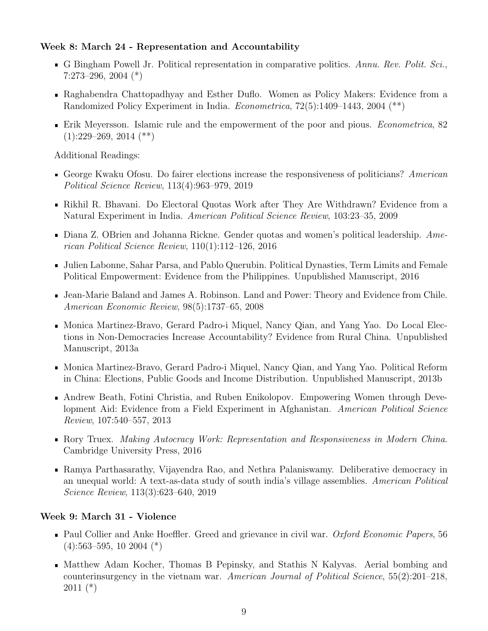### Week 8: March 24 - Representation and Accountability

- G Bingham Powell Jr. Political representation in comparative politics. Annu. Rev. Polit. Sci., 7:273–296, 2004 (\*)
- Raghabendra Chattopadhyay and Esther Duflo. Women as Policy Makers: Evidence from a Randomized Policy Experiment in India. Econometrica, 72(5):1409–1443, 2004 (\*\*)
- Erik Meyersson. Islamic rule and the empowerment of the poor and pious. Econometrica, 82  $(1):229-269, 2014$  (\*\*)

Additional Readings:

- George Kwaku Ofosu. Do fairer elections increase the responsiveness of politicians? American Political Science Review, 113(4):963–979, 2019
- Rikhil R. Bhavani. Do Electoral Quotas Work after They Are Withdrawn? Evidence from a Natural Experiment in India. American Political Science Review, 103:23–35, 2009
- Diana Z. OBrien and Johanna Rickne. Gender quotas and women's political leadership. American Political Science Review, 110(1):112–126, 2016
- Julien Labonne, Sahar Parsa, and Pablo Querubin. Political Dynasties, Term Limits and Female Political Empowerment: Evidence from the Philippines. Unpublished Manuscript, 2016
- Jean-Marie Baland and James A. Robinson. Land and Power: Theory and Evidence from Chile. American Economic Review, 98(5):1737–65, 2008
- Monica Martinez-Bravo, Gerard Padro-i Miquel, Nancy Qian, and Yang Yao. Do Local Elections in Non-Democracies Increase Accountability? Evidence from Rural China. Unpublished Manuscript, 2013a
- Monica Martinez-Bravo, Gerard Padro-i Miquel, Nancy Qian, and Yang Yao. Political Reform in China: Elections, Public Goods and Income Distribution. Unpublished Manuscript, 2013b
- Andrew Beath, Fotini Christia, and Ruben Enikolopov. Empowering Women through Development Aid: Evidence from a Field Experiment in Afghanistan. American Political Science Review, 107:540–557, 2013
- Rory Truex. Making Autocracy Work: Representation and Responsiveness in Modern China. Cambridge University Press, 2016
- Ramya Parthasarathy, Vijayendra Rao, and Nethra Palaniswamy. Deliberative democracy in an unequal world: A text-as-data study of south india's village assemblies. American Political Science Review, 113(3):623–640, 2019

# Week 9: March 31 - Violence

- Paul Collier and Anke Hoeffler. Greed and grievance in civil war. Oxford Economic Papers, 56  $(4):563-595, 10\ 2004$  (\*)
- Matthew Adam Kocher, Thomas B Pepinsky, and Stathis N Kalyvas. Aerial bombing and counterinsurgency in the vietnam war. American Journal of Political Science, 55(2):201–218, 2011 (\*)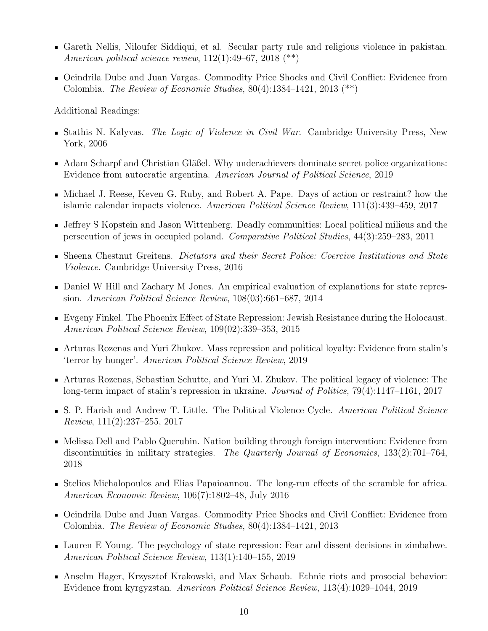- Gareth Nellis, Niloufer Siddiqui, et al. Secular party rule and religious violence in pakistan. American political science review,  $112(1)$ :49–67,  $2018$  (\*\*)
- Oeindrila Dube and Juan Vargas. Commodity Price Shocks and Civil Conflict: Evidence from Colombia. The Review of Economic Studies,  $80(4):1384-1421$ ,  $2013$   $(**)$

- Stathis N. Kalyvas. The Logic of Violence in Civil War. Cambridge University Press, New York, 2006
- Adam Scharpf and Christian Gläßel. Why underachievers dominate secret police organizations: Evidence from autocratic argentina. American Journal of Political Science, 2019
- Michael J. Reese, Keven G. Ruby, and Robert A. Pape. Days of action or restraint? how the islamic calendar impacts violence. American Political Science Review, 111(3):439–459, 2017
- Jeffrey S Kopstein and Jason Wittenberg. Deadly communities: Local political milieus and the persecution of jews in occupied poland. Comparative Political Studies, 44(3):259–283, 2011
- Sheena Chestnut Greitens. Dictators and their Secret Police: Coercive Institutions and State Violence. Cambridge University Press, 2016
- Daniel W Hill and Zachary M Jones. An empirical evaluation of explanations for state repression. American Political Science Review, 108(03):661–687, 2014
- Evgeny Finkel. The Phoenix Effect of State Repression: Jewish Resistance during the Holocaust. American Political Science Review, 109(02):339–353, 2015
- Arturas Rozenas and Yuri Zhukov. Mass repression and political loyalty: Evidence from stalin's 'terror by hunger'. American Political Science Review, 2019
- Arturas Rozenas, Sebastian Schutte, and Yuri M. Zhukov. The political legacy of violence: The long-term impact of stalin's repression in ukraine. *Journal of Politics*, 79(4):1147–1161, 2017
- S. P. Harish and Andrew T. Little. The Political Violence Cycle. American Political Science Review, 111(2):237–255, 2017
- Melissa Dell and Pablo Querubin. Nation building through foreign intervention: Evidence from discontinuities in military strategies. The Quarterly Journal of Economics, 133(2):701–764, 2018
- Stelios Michalopoulos and Elias Papaioannou. The long-run effects of the scramble for africa. American Economic Review, 106(7):1802–48, July 2016
- Oeindrila Dube and Juan Vargas. Commodity Price Shocks and Civil Conflict: Evidence from Colombia. The Review of Economic Studies, 80(4):1384–1421, 2013
- Lauren E Young. The psychology of state repression: Fear and dissent decisions in zimbabwe. American Political Science Review, 113(1):140–155, 2019
- Anselm Hager, Krzysztof Krakowski, and Max Schaub. Ethnic riots and prosocial behavior: Evidence from kyrgyzstan. American Political Science Review, 113(4):1029–1044, 2019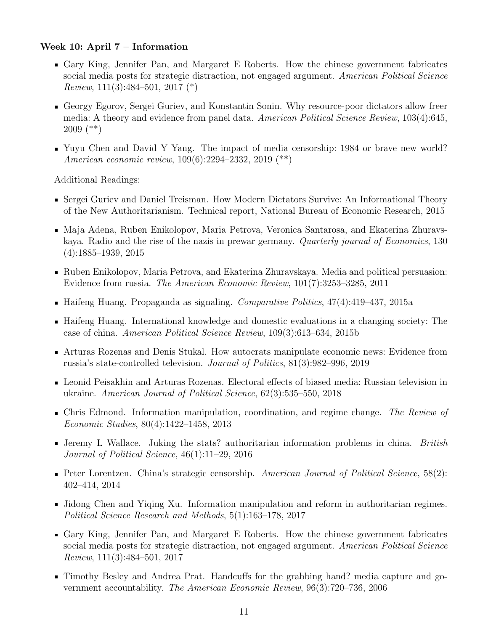#### Week 10: April 7 – Information

- Gary King, Jennifer Pan, and Margaret E Roberts. How the chinese government fabricates social media posts for strategic distraction, not engaged argument. American Political Science Review,  $111(3):484-501$ ,  $2017 (*)$
- Georgy Egorov, Sergei Guriev, and Konstantin Sonin. Why resource-poor dictators allow freer media: A theory and evidence from panel data. American Political Science Review, 103(4):645, 2009 (\*\*)
- Yuyu Chen and David Y Yang. The impact of media censorship: 1984 or brave new world? American economic review, 109(6):2294–2332, 2019 (\*\*)

- Sergei Guriev and Daniel Treisman. How Modern Dictators Survive: An Informational Theory of the New Authoritarianism. Technical report, National Bureau of Economic Research, 2015
- Maja Adena, Ruben Enikolopov, Maria Petrova, Veronica Santarosa, and Ekaterina Zhuravskaya. Radio and the rise of the nazis in prewar germany. Quarterly journal of Economics, 130 (4):1885–1939, 2015
- Ruben Enikolopov, Maria Petrova, and Ekaterina Zhuravskaya. Media and political persuasion: Evidence from russia. The American Economic Review, 101(7):3253–3285, 2011
- Haifeng Huang. Propaganda as signaling. Comparative Politics, 47(4):419–437, 2015a
- Haifeng Huang. International knowledge and domestic evaluations in a changing society: The case of china. American Political Science Review, 109(3):613–634, 2015b
- Arturas Rozenas and Denis Stukal. How autocrats manipulate economic news: Evidence from russia's state-controlled television. Journal of Politics, 81(3):982–996, 2019
- Leonid Peisakhin and Arturas Rozenas. Electoral effects of biased media: Russian television in ukraine. American Journal of Political Science, 62(3):535–550, 2018
- Chris Edmond. Information manipulation, coordination, and regime change. The Review of Economic Studies, 80(4):1422–1458, 2013
- I Jeremy L Wallace. Juking the stats? authoritarian information problems in china. British Journal of Political Science, 46(1):11–29, 2016
- Peter Lorentzen. China's strategic censorship. American Journal of Political Science,  $58(2)$ : 402–414, 2014
- I Jidong Chen and Yiqing Xu. Information manipulation and reform in authoritarian regimes. Political Science Research and Methods, 5(1):163–178, 2017
- Gary King, Jennifer Pan, and Margaret E Roberts. How the chinese government fabricates social media posts for strategic distraction, not engaged argument. American Political Science Review, 111(3):484–501, 2017
- Timothy Besley and Andrea Prat. Handcuffs for the grabbing hand? media capture and government accountability. The American Economic Review, 96(3):720–736, 2006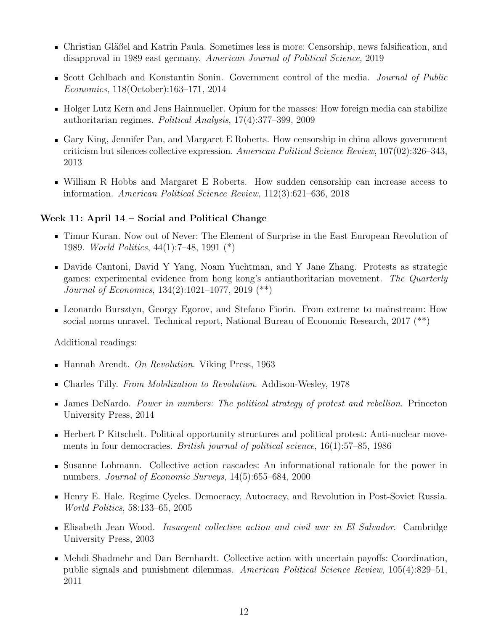- Christian Gläßel and Katrin Paula. Sometimes less is more: Censorship, news falsification, and disapproval in 1989 east germany. American Journal of Political Science, 2019
- Scott Gehlbach and Konstantin Sonin. Government control of the media. Journal of Public Economics, 118(October):163–171, 2014
- Holger Lutz Kern and Jens Hainmueller. Opium for the masses: How foreign media can stabilize authoritarian regimes. Political Analysis, 17(4):377–399, 2009
- Gary King, Jennifer Pan, and Margaret E Roberts. How censorship in china allows government criticism but silences collective expression. American Political Science Review, 107(02):326–343, 2013
- William R Hobbs and Margaret E Roberts. How sudden censorship can increase access to information. American Political Science Review, 112(3):621–636, 2018

#### Week 11: April 14 – Social and Political Change

- Timur Kuran. Now out of Never: The Element of Surprise in the East European Revolution of 1989. World Politics, 44(1):7–48, 1991 (\*)
- Davide Cantoni, David Y Yang, Noam Yuchtman, and Y Jane Zhang. Protests as strategic games: experimental evidence from hong kong's antiauthoritarian movement. The Quarterly Journal of Economics, 134(2):1021–1077, 2019 (\*\*)
- Leonardo Bursztyn, Georgy Egorov, and Stefano Fiorin. From extreme to mainstream: How social norms unravel. Technical report, National Bureau of Economic Research, 2017 (\*\*)

- $\blacksquare$  Hannah Arendt. On Revolution. Viking Press, 1963
- Charles Tilly. From Mobilization to Revolution. Addison-Wesley, 1978
- James DeNardo. Power in numbers: The political strategy of protest and rebellion. Princeton University Press, 2014
- Herbert P Kitschelt. Political opportunity structures and political protest: Anti-nuclear movements in four democracies. *British journal of political science*, 16(1):57–85, 1986
- Susanne Lohmann. Collective action cascades: An informational rationale for the power in numbers. Journal of Economic Surveys, 14(5):655–684, 2000
- Henry E. Hale. Regime Cycles. Democracy, Autocracy, and Revolution in Post-Soviet Russia. World Politics, 58:133–65, 2005
- **Elisabeth Jean Wood.** Insurgent collective action and civil war in El Salvador. Cambridge University Press, 2003
- Mehdi Shadmehr and Dan Bernhardt. Collective action with uncertain payoffs: Coordination, public signals and punishment dilemmas. American Political Science Review, 105(4):829–51, 2011